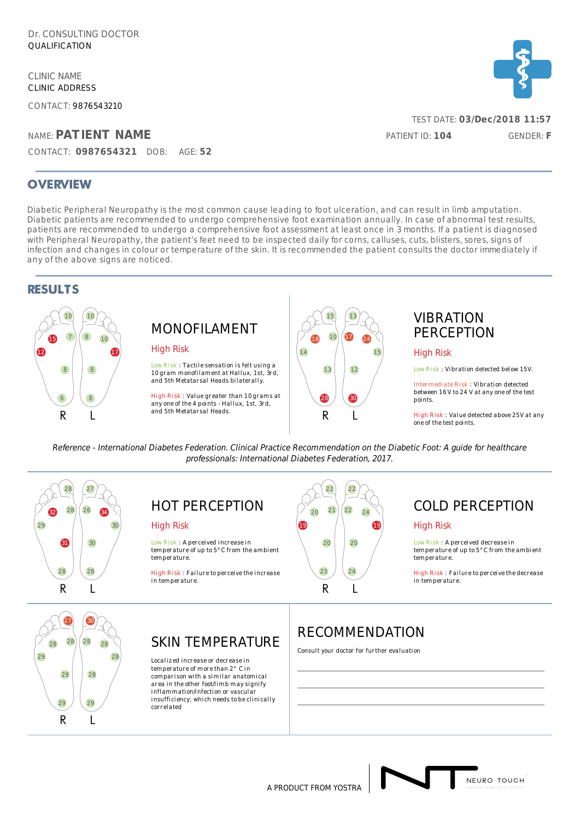CLINIC NAME CLINIC ADDRESS

CONTACT: 9876543210

### NAME: **PATIENT NAME**

CONTACT: **0987654321** DOB: AGE: **52**

### **OVERVIEW**

Diabetic Peripheral Neuropathy is the most common cause leading to foot ulceration, and can result in limb amputation. Diabetic patients are recommended to undergo comprehensive foot examination annually. In case of abnormal test results, patients are recommended to undergo a comprehensive foot assessment at least once in 3 months. If a patient is diagnosed with Peripheral Neuropathy, the patient's feet need to be inspected daily for corns, calluses, cuts, blisters, sores, signs of infection and changes in colour or temperature of the skin. It is recommended the patient consults the doctor immediately if any of the above signs are noticed.

### **RESULTS**



# MONOFILAMENT

#### High Risk

Low Risk : Tactile sensation is felt using a 10 gram monofilament at Hallux, 1st, 3rd, and 5th Metatar sal Heads bi lateral ly.

High Risk : Value greater than 10 grams at any one of the 4 points - Hallux, 1st, 3rd, and 5th Metatar sal Heads.



## VIBRATION **PERCEPTION**

#### High Risk

Low Risk : Vibration detected below 15V.

Intermediate Risk : Vibration detected<br>between 16 V to 24 V at any one of the test points.

High Risk : Value detected above 25V at any one of the test points.

Reference - International Diabetes Federation. Clinical Practice Recommendation on the Diabetic Foot: A guide for healthcare professionals: International Diabetes Federation, 2017.



## HOT PERCEPTION

#### High Risk

Low Risk : A per ceived increase in temperature of up to 5°C from the ambient temperature.

High Risk : Failure to perceive the increase in temperature.



## COLD PERCEPTION

#### High Risk

Low Risk: A per ceived decrease in temperature of up to 5°C from the ambient temperature.

High Risk : Failure to perceive the decrease in temperature.



## SKIN TEMPERATURE

Localized increase or decrease in temperature of more than 2° C in comparison with a similar anatomical area in the other foot/l imb may signify inflammation/infection or vascular insufficiency; which needs to be clinically correlated

## RECOMMENDATION

Consult your doctor for further evaluation



A PRODUCT FROM YOSTRA

TEST DATE: **03/Dec/2018 11:57**

PATIENT ID: **104** GENDER: **F**